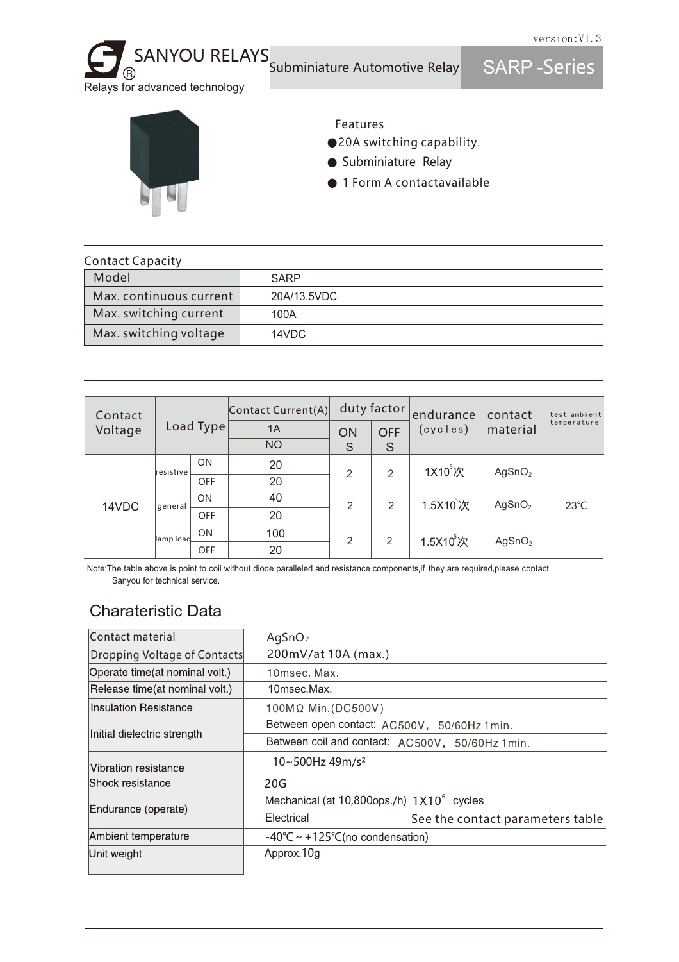Relays for advanced technology SARP -Series SANYOU RELAYS Subminiature Automotive Relay



#### Features

- ●20A switching capability.
- Subminiature Relay
- 1 Form A contactavailable

| <b>Contact Capacity</b> |             |  |  |  |  |
|-------------------------|-------------|--|--|--|--|
| Model                   | <b>SARP</b> |  |  |  |  |
| Max. continuous current | 20A/13.5VDC |  |  |  |  |
| Max. switching current  | 100A        |  |  |  |  |
| Max. switching voltage  | 14VDC       |  |  |  |  |

| Contact<br>Voltage | Load Type |            | $\vert$ Contact Current(A) $\vert$ |                | duty factor | endurance<br>(cycles) | contact<br>material | test ambient<br>temperature |
|--------------------|-----------|------------|------------------------------------|----------------|-------------|-----------------------|---------------------|-----------------------------|
|                    |           |            | 1A                                 | ON             | <b>OFF</b>  |                       |                     |                             |
|                    |           |            | <b>NO</b>                          | S              | S           |                       |                     |                             |
| 14VDC              | resistive | <b>ON</b>  | 20                                 | $\overline{2}$ | 2           | 1X10 <sup>5</sup> 次   | AgSnO <sub>2</sub>  | $23^{\circ}$ C              |
|                    |           | OFF        | 20                                 |                |             |                       |                     |                             |
|                    | general   | <b>ON</b>  | 40                                 | $\overline{2}$ | 2           | $1.5X10^5$ 次          | AgSnO <sub>2</sub>  |                             |
|                    |           | <b>OFF</b> | 20                                 |                |             |                       |                     |                             |
|                    | lamp load | ON         | 100                                | 2              | 2           | 1.5X10°次              | AgSnO <sub>2</sub>  |                             |
|                    |           | <b>OFF</b> | 20                                 |                |             |                       |                     |                             |

Note:The table above is point to coil without diode paralleled and resistance components,if they are required,please contact Sanyou for technical service.

### Charateristic Data

| Contact material                | AgSnO <sub>2</sub>                                     |                                  |  |  |  |  |
|---------------------------------|--------------------------------------------------------|----------------------------------|--|--|--|--|
| Dropping Voltage of Contacts    | 200mV/at 10A (max.)                                    |                                  |  |  |  |  |
| Operate time (at nominal volt.) | 10msec. Max.                                           |                                  |  |  |  |  |
| Release time(at nominal volt.)  | 10msec.Max.                                            |                                  |  |  |  |  |
| <b>Insulation Resistance</b>    | 100MΩ Min.(DC500V)                                     |                                  |  |  |  |  |
|                                 | Between open contact: AC500V, 50/60Hz 1min.            |                                  |  |  |  |  |
| Initial dielectric strength     | Between coil and contact: AC500V, 50/60Hz 1min.        |                                  |  |  |  |  |
| Vibration resistance            | 10~500Hz 49m/s <sup>2</sup>                            |                                  |  |  |  |  |
| Shock resistance                | 20G                                                    |                                  |  |  |  |  |
| Endurance (operate)             | Mechanical (at $10,800$ ops./h) $1 \times 10^6$ cycles |                                  |  |  |  |  |
|                                 | Electrical                                             | See the contact parameters table |  |  |  |  |
| Ambient temperature             | $-40^{\circ}$ C ~ +125 $^{\circ}$ C(no condensation)   |                                  |  |  |  |  |
| Unit weight                     | Approx.10g                                             |                                  |  |  |  |  |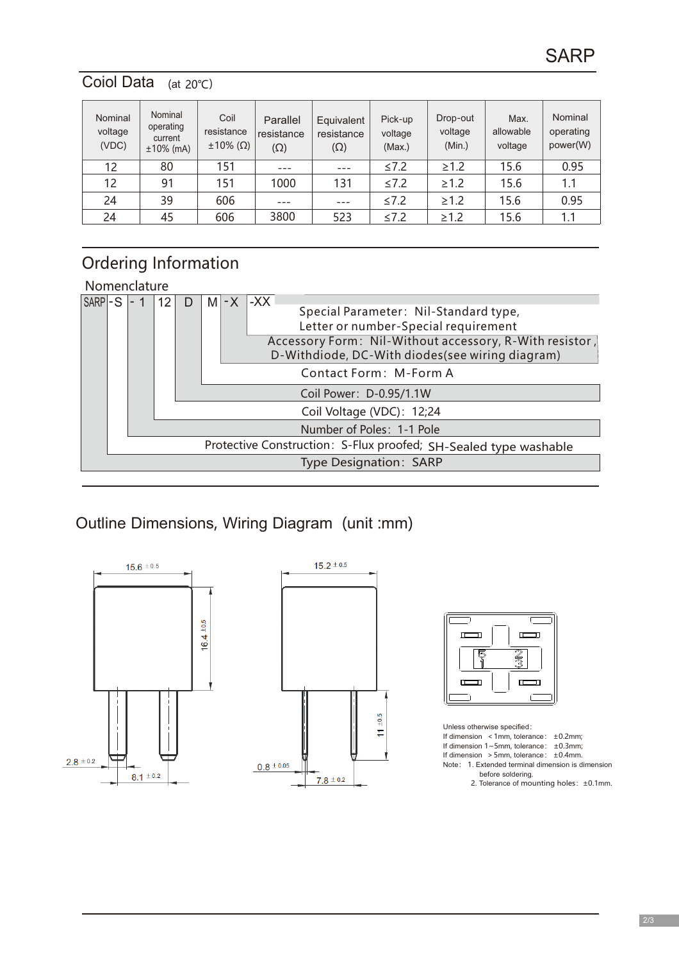### Coiol Data (at 20℃)

| Nominal<br>voltage<br>(VDC) | Nominal<br>operating<br>current<br>$±10\%$ (mA) | Coil<br>resistance<br>$\pm 10\%$ ( $\Omega$ ) | Parallel<br>resistance<br>$(\Omega)$ | Equivalent<br>resistance<br>$(\Omega)$ | Pick-up<br>voltage<br>(Max.) | Drop-out<br>voltage<br>(Min.) | Max.<br>allowable<br>voltage | Nominal<br>operating<br>power(W) |
|-----------------------------|-------------------------------------------------|-----------------------------------------------|--------------------------------------|----------------------------------------|------------------------------|-------------------------------|------------------------------|----------------------------------|
| 12                          | 80                                              | 151                                           | $- - -$                              | $---$                                  | ≤7.2                         | $\geq 1.2$                    | 15.6                         | 0.95                             |
| 12                          | 91                                              | 151                                           | 1000                                 | 131                                    | $\leq 7.2$                   | $\geq 1.2$                    | 15.6                         | 1.1                              |
| 24                          | 39                                              | 606                                           |                                      |                                        | ≤7.2                         | $\geq 1.2$                    | 15.6                         | 0.95                             |
| 24                          | 45                                              | 606                                           | 3800                                 | 523                                    | ≤7.2                         | $\geq 1.2$                    | 15.6                         | 1.1                              |

# Ordering Information

Nomenclature



### Outline Dimensions, Wiring Diagram (unit :mm)







Unless otherwise specified: If dimension  $\leq 1$ mm, tolerance:  $\pm 0.2$ mm; If dimension 1~5mm, tolerance: ±0.3mm; If dimension  $>5$ mm, tolerance:  $\pm 0.4$ mm. Note: 1. Extended terminal dimension is dimension before soldering. 2. Tolerance of mounting holes: ±0.1mm.